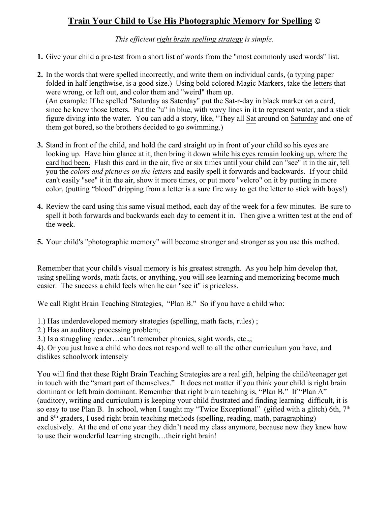# **Train Your Child to Use His Photographic Memory for Spelling ©**

*This efficient right brain spelling strategy is simple.*

- **1.** Give your child a pre-test from a short list of words from the "most commonly used words" list.
- **2.** In the words that were spelled incorrectly, and write them on individual cards, (a typing paper folded in half lengthwise, is a good size.) Using bold colored Magic Markers, take the letters that were wrong, or left out, and color them and "weird" them up. (An example: If he spelled "Saturday as Saterday" put the Sat-r-day in black marker on a card, since he knew those letters. Put the "u" in blue, with wavy lines in it to represent water, and a stick figure diving into the water. You can add a story, like, "They all Sat around on Saturday and one of them got bored, so the brothers decided to go swimming.)
- **3.** Stand in front of the child, and hold the card straight up in front of your child so his eyes are looking up. Have him glance at it, then bring it down while his eyes remain looking up, where the card had been. Flash this card in the air, five or six times until your child can "see" it in the air, tell you the *colors and pictures on the letters* and easily spell it forwards and backwards. If your child can't easily "see" it in the air, show it more times, or put more "velcro" on it by putting in more color, (putting "blood" dripping from a letter is a sure fire way to get the letter to stick with boys!)
- **4.** Review the card using this same visual method, each day of the week for a few minutes. Be sure to spell it both forwards and backwards each day to cement it in. Then give a written test at the end of the week.
- **5.** Your child's "photographic memory" will become stronger and stronger as you use this method.

Remember that your child's visual memory is his greatest strength. As you help him develop that, using spelling words, math facts, or anything, you will see learning and memorizing become much easier. The success a child feels when he can "see it" is priceless.

We call Right Brain Teaching Strategies, "Plan B." So if you have a child who:

1.) Has underdeveloped memory strategies (spelling, math facts, rules) ;

2.) Has an auditory processing problem;

3.) Is a struggling reader…can't remember phonics, sight words, etc.,;

4). Or you just have a child who does not respond well to all the other curriculum you have, and dislikes schoolwork intensely

You will find that these Right Brain Teaching Strategies are a real gift, helping the child/teenager get in touch with the "smart part of themselves." It does not matter if you think your child is right brain dominant or left brain dominant. Remember that right brain teaching is, "Plan B." If "Plan A" (auditory, writing and curriculum) is keeping your child frustrated and finding learning difficult, it is so easy to use Plan B. In school, when I taught my "Twice Exceptional" (gifted with a glitch) 6th,  $7<sup>th</sup>$ and 8th graders, I used right brain teaching methods (spelling, reading, math, paragraphing) exclusively. At the end of one year they didn't need my class anymore, because now they knew how to use their wonderful learning strength…their right brain!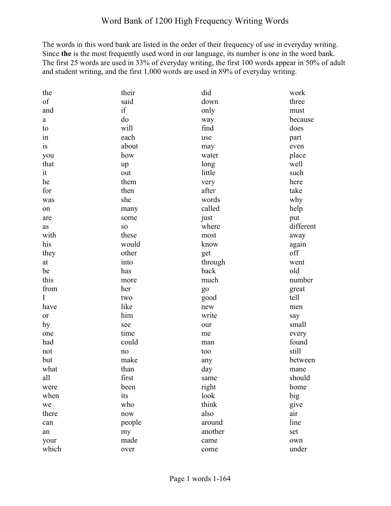The words in this word bank are listed in the order of their frequency of use in everyday writing. Since **the** is the most frequently used word in our language, its number is one in the word bank. The first 25 words are used in 33% of everyday writing, the first 100 words appear in 50% of adult and student writing, and the first 1,000 words are used in 89% of everyday writing.

| the         | their     | did     | work      |
|-------------|-----------|---------|-----------|
| of          | said      | down    | three     |
| and         | if        | only    | must      |
| a           | do        | way     | because   |
| to          | will      | find    | does      |
| 1n          | each      | use     | part      |
| is          | about     | may     | even      |
| you         | how       | water   | place     |
| that        | up        | long    | well      |
| it          | out       | little  | such      |
| he          | them      | very    | here      |
| for         | then      | after   | take      |
| was         | she       | words   | why       |
| on          | many      | called  | help      |
| are         | some      | just    | put       |
| <b>as</b>   | <b>SO</b> | where   | different |
| with        | these     | most    | away      |
| his         | would     | know    | again     |
| they        | other     | get     | off       |
| at          | into      | through | went      |
| be          | has       | back    | old       |
| this        | more      | much    | number    |
| from        | her       | go      | great     |
| $\mathbf I$ | two       | good    | tell      |
| have        | like      | new     | men       |
| <b>or</b>   | him       | write   | say       |
| by          | see       | our     | small     |
| one         | time      | me      | every     |
| had         | could     | man     | found     |
| not         | no        | too     | still     |
| but         | make      | any     | between   |
| what        | than      | day     | mane      |
| all         | first     | same    | should    |
| were        | been      | right   | home      |
| when        | its       | look    | big       |
| we          | who       | think   | give      |
| there       | now       | also    | air       |
| can         | people    | around  | line      |
| an          | my        | another | set       |
| your        | made      | came    | own       |
| which       | over      | come    | under     |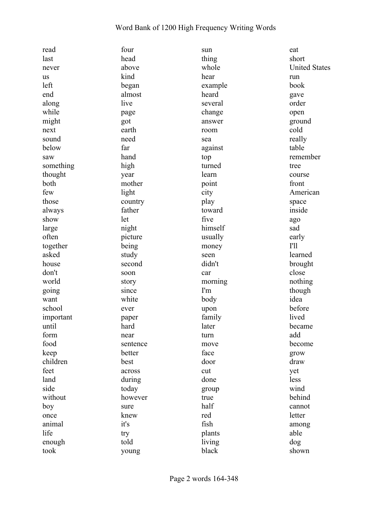| read      | four     | sun     | eat                  |
|-----------|----------|---------|----------------------|
| last      | head     | thing   | short                |
| never     | above    | whole   | <b>United States</b> |
| us        | kind     | hear    | run                  |
| left      | began    | example | book                 |
| end       | almost   | heard   | gave                 |
| along     | live     | several | order                |
| while     | page     | change  | open                 |
| might     | got      | answer  | ground               |
| next      | earth    | room    | cold                 |
| sound     | need     | sea     | really               |
| below     | far      | against | table                |
| saw       | hand     | top     | remember             |
| something | high     | turned  | tree                 |
| thought   | year     | learn   | course               |
| both      | mother   | point   | front                |
| few       | light    | city    | American             |
| those     | country  | play    | space                |
| always    | father   | toward  | inside               |
| show      | let      | five    | ago                  |
| large     | night    | himself | sad                  |
| often     | picture  | usually | early                |
| together  | being    | money   | <b>I'll</b>          |
| asked     | study    | seen    | learned              |
| house     | second   | didn't  | brought              |
| don't     | soon     | car     | close                |
| world     | story    | morning | nothing              |
| going     | since    | I'm     | though               |
| want      | white    | body    | idea                 |
| school    | ever     | upon    | before               |
| important | paper    | family  | lived                |
| until     | hard     | later   | became               |
| form      | near     | turn    | add                  |
| food      | sentence | move    | become               |
| keep      | better   | face    | grow                 |
| children  | best     | door    | draw                 |
| feet      | across   | cut     | yet                  |
| land      | during   | done    | less                 |
| side      | today    | group   | wind                 |
| without   | however  | true    | behind               |
| boy       | sure     | half    | cannot               |
| once      | knew     | red     | letter               |
| animal    | it's     | fish    | among                |
| life      | try      | plants  | able                 |
| enough    | told     | living  | dog                  |
| took      | young    | black   | shown                |
|           |          |         |                      |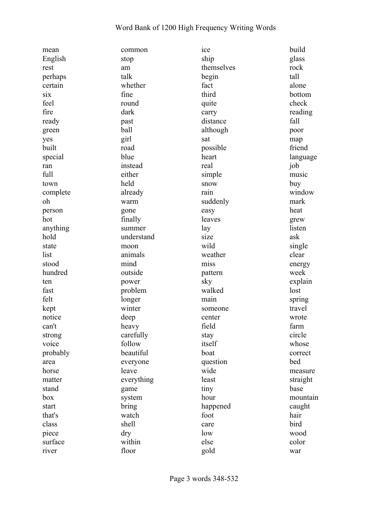| mean     | common     | ice        | build    |
|----------|------------|------------|----------|
| English  | stop       | ship       | glass    |
| rest     | am         | themselves | rock     |
| perhaps  | talk       | begin      | tall     |
| certain  | whether    | fact       | alone    |
| six      | fine       | third      | bottom   |
| feel     | round      | quite      | check    |
| fire     | dark       | carry      | reading  |
| ready    | past       | distance   | fall     |
| green    | ball       | although   | poor     |
| yes      | girl       | sat        | map      |
| built    | road       | possible   | friend   |
| special  | blue       | heart      | language |
| ran      | instead    | real       | job      |
| full     | either     | simple     | music    |
| town     | held       | snow       | buy      |
| complete | already    | rain       | window   |
| oh       | warm       | suddenly   | mark     |
| person   | gone       | easy       | heat     |
| hot      | finally    | leaves     | grew     |
| anything | summer     | lay        | listen   |
| hold     | understand | size       | ask      |
| state    | moon       | wild       | single   |
| list     | animals    | weather    | clear    |
| stood    | mind       | miss       | energy   |
| hundred  | outside    | pattern    | week     |
| ten      | power      | sky        | explain  |
| fast     | problem    | walked     | lost     |
| felt     | longer     | main       | spring   |
| kept     | winter     | someone    | travel   |
| notice   | deep       | center     | wrote    |
| can't    | heavy      | field      | farm     |
| strong   | carefully  | stay       | circle   |
| voice    | follow     | itself     | whose    |
| probably | beautiful  | boat       | correct  |
| area     | everyone   | question   | bed      |
| horse    | leave      | wide       | measure  |
| matter   | everything | least      | straight |
| stand    | game       | tiny       | base     |
| box      | system     | hour       | mountain |
| start    | bring      | happened   | caught   |
| that's   | watch      | foot       | hair     |
| class    | shell      | care       | bird     |
| piece    | dry        | low        | wood     |
| surface  | within     | else       | color    |
| river    | floor      | gold       | war      |
|          |            |            |          |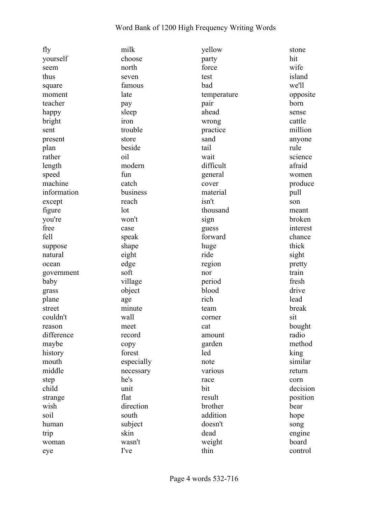| fly         | milk       | yellow      | stone    |
|-------------|------------|-------------|----------|
| yourself    | choose     | party       | hit      |
| seem        | north      | force       | wife     |
| thus        | seven      | test        | island   |
| square      | famous     | bad         | we'll    |
| moment      | late       | temperature | opposite |
| teacher     | pay        | pair        | born     |
| happy       | sleep      | ahead       | sense    |
| bright      | iron       | wrong       | cattle   |
| sent        | trouble    | practice    | million  |
| present     | store      | sand        | anyone   |
| plan        | beside     | tail        | rule     |
| rather      | oil        | wait        | science  |
| length      | modern     | difficult   | afraid   |
| speed       | fun        | general     | women    |
| machine     | catch      | cover       | produce  |
| information | business   | material    | pull     |
| except      | reach      | isn't       | son      |
| figure      | lot        | thousand    | meant    |
| you're      | won't      | sign        | broken   |
| free        | case       | guess       | interest |
| fell        | speak      | forward     | chance   |
| suppose     | shape      | huge        | thick    |
| natural     | eight      | ride        | sight    |
| ocean       | edge       | region      | pretty   |
| government  | soft       | nor         | train    |
| baby        | village    | period      | fresh    |
| grass       | object     | blood       | drive    |
| plane       | age        | rich        | lead     |
| street      | minute     | team        | break    |
| couldn't    | wall       | corner      | sit      |
| reason      | meet       | cat         | bought   |
| difference  | record     | amount      | radio    |
| maybe       | copy       | garden      | method   |
| history     | forest     | led         | king     |
| mouth       | especially | note        | similar  |
| middle      | necessary  | various     | return   |
| step        | he's       | race        | corn     |
| child       | unit       | bit         | decision |
| strange     | flat       | result      | position |
| wish        | direction  | brother     | bear     |
| soil        | south      | addition    | hope     |
| human       | subject    | doesn't     | song     |
| trip        | skin       | dead        | engine   |
| woman       | wasn't     | weight      | board    |
| eye         | I've       | thin        | control  |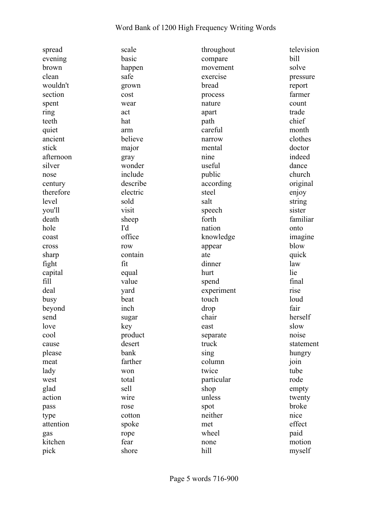| spread    | scale    | throughout | television |
|-----------|----------|------------|------------|
| evening   | basic    | compare    | bill       |
| brown     | happen   | movement   | solve      |
| clean     | safe     | exercise   | pressure   |
| wouldn't  | grown    | bread      | report     |
| section   | cost     | process    | farmer     |
| spent     | wear     | nature     | count      |
| ring      | act      | apart      | trade      |
| teeth     | hat      | path       | chief      |
| quiet     | arm      | careful    | month      |
| ancient   | believe  | narrow     | clothes    |
| stick     | major    | mental     | doctor     |
| afternoon | gray     | nine       | indeed     |
| silver    | wonder   | useful     | dance      |
| nose      | include  | public     | church     |
| century   | describe | according  | original   |
| therefore | electric | steel      | enjoy      |
| level     | sold     | salt       | string     |
| you'll    | visit    | speech     | sister     |
| death     | sheep    | forth      | familiar   |
| hole      | I'd      | nation     | onto       |
| coast     | office   | knowledge  | imagine    |
| cross     | row      | appear     | blow       |
| sharp     | contain  | ate        | quick      |
| fight     | fit      | dinner     | law        |
| capital   | equal    | hurt       | lie        |
| fill      | value    | spend      | final      |
| deal      | yard     | experiment | rise       |
| busy      | beat     | touch      | loud       |
| beyond    | inch     | drop       | fair       |
| send      | sugar    | chair      | herself    |
| love      | key      | east       | slow       |
| cool      | product  | separate   | noise      |
| cause     | desert   | truck      | statement  |
| please    | bank     | sing       | hungry     |
| meat      | farther  | column     | join       |
| lady      | won      | twice      | tube       |
| west      | total    | particular | rode       |
| glad      | sell     | shop       | empty      |
| action    | wire     | unless     | twenty     |
| pass      | rose     | spot       | broke      |
| type      | cotton   | neither    | nice       |
| attention | spoke    | met        | effect     |
| gas       | rope     | wheel      | paid       |
| kitchen   | fear     | none       | motion     |
| pick      | shore    | hill       | myself     |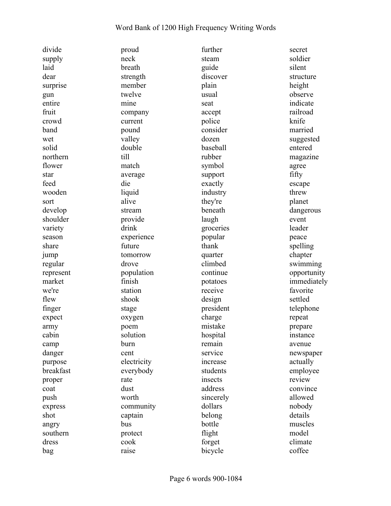| divide    | proud       | further           | secret      |
|-----------|-------------|-------------------|-------------|
| supply    | neck        | steam             | soldier     |
| laid      | breath      | guide             | silent      |
| dear      | strength    | discover          | structure   |
| surprise  | member      | plain             | height      |
| gun       | twelve      | usual             | observe     |
| entire    | mine        | seat              | indicate    |
| fruit     | company     | accept            | railroad    |
| crowd     | current     | police            | knife       |
| band      | pound       | consider          | married     |
| wet       | valley      | dozen             | suggested   |
| solid     | double      | baseball          | entered     |
| northern  | till        | rubber            | magazine    |
| flower    | match       | symbol            | agree       |
| star      | average     | support           | fifty       |
| feed      | die         | exactly           | escape      |
| wooden    | liquid      | industry          | threw       |
| sort      | alive       | they're           | planet      |
| develop   | stream      | beneath           | dangerous   |
| shoulder  | provide     | laugh             | event       |
| variety   | drink       | groceries         | leader      |
| season    | experience  | popular           | peace       |
| share     | future      | thank             | spelling    |
| jump      | tomorrow    | quarter           | chapter     |
| regular   | drove       | climbed           | swimming    |
| represent | population  | continue          | opportunity |
| market    | finish      | potatoes          | immediately |
| we're     | station     | receive           | favorite    |
| flew      | shook       | design            | settled     |
|           |             | president         |             |
| finger    | stage       |                   | telephone   |
| expect    | oxygen      | charge<br>mistake | repeat      |
| army      | poem        |                   | prepare     |
| cabin     | solution    | hospital          | instance    |
| camp      | burn        | remain            | avenue      |
| danger    | cent        | service           | newspaper   |
| purpose   | electricity | increase          | actually    |
| breakfast | everybody   | students          | employee    |
| proper    | rate        | insects           | review      |
| coat      | dust        | address           | convince    |
| push      | worth       | sincerely         | allowed     |
| express   | community   | dollars           | nobody      |
| shot      | captain     | belong            | details     |
| angry     | bus         | bottle            | muscles     |
| southern  | protect     | flight            | model       |
| dress     | cook        | forget            | climate     |
| bag       | raise       | bicycle           | coffee      |